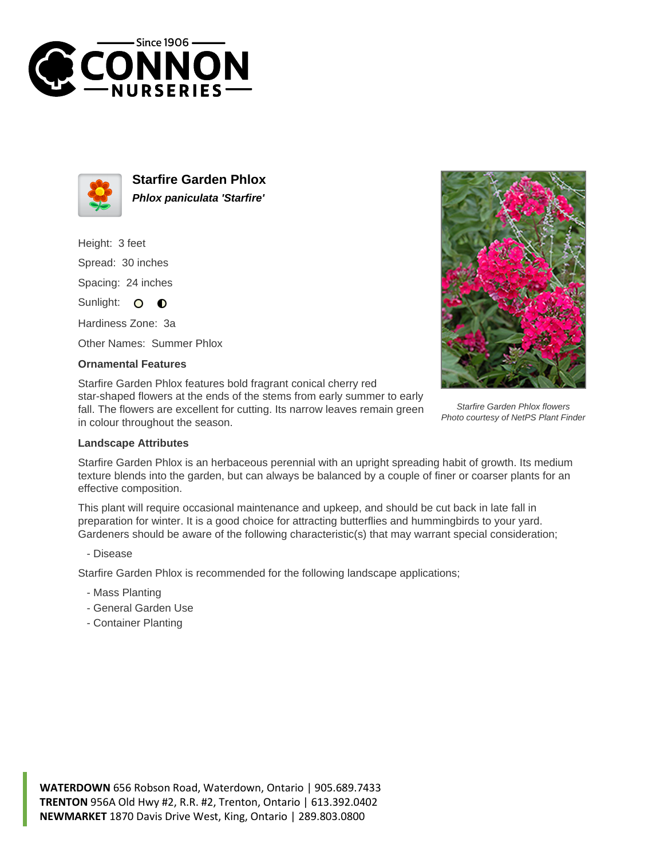



**Starfire Garden Phlox Phlox paniculata 'Starfire'**

Height: 3 feet Spread: 30 inches Spacing: 24 inches Sunlight: O **O** 

Hardiness Zone: 3a

Other Names: Summer Phlox

## **Ornamental Features**

Starfire Garden Phlox features bold fragrant conical cherry red star-shaped flowers at the ends of the stems from early summer to early fall. The flowers are excellent for cutting. Its narrow leaves remain green in colour throughout the season.



Starfire Garden Phlox flowers Photo courtesy of NetPS Plant Finder

## **Landscape Attributes**

Starfire Garden Phlox is an herbaceous perennial with an upright spreading habit of growth. Its medium texture blends into the garden, but can always be balanced by a couple of finer or coarser plants for an effective composition.

This plant will require occasional maintenance and upkeep, and should be cut back in late fall in preparation for winter. It is a good choice for attracting butterflies and hummingbirds to your yard. Gardeners should be aware of the following characteristic(s) that may warrant special consideration;

## - Disease

Starfire Garden Phlox is recommended for the following landscape applications;

- Mass Planting
- General Garden Use
- Container Planting

**WATERDOWN** 656 Robson Road, Waterdown, Ontario | 905.689.7433 **TRENTON** 956A Old Hwy #2, R.R. #2, Trenton, Ontario | 613.392.0402 **NEWMARKET** 1870 Davis Drive West, King, Ontario | 289.803.0800